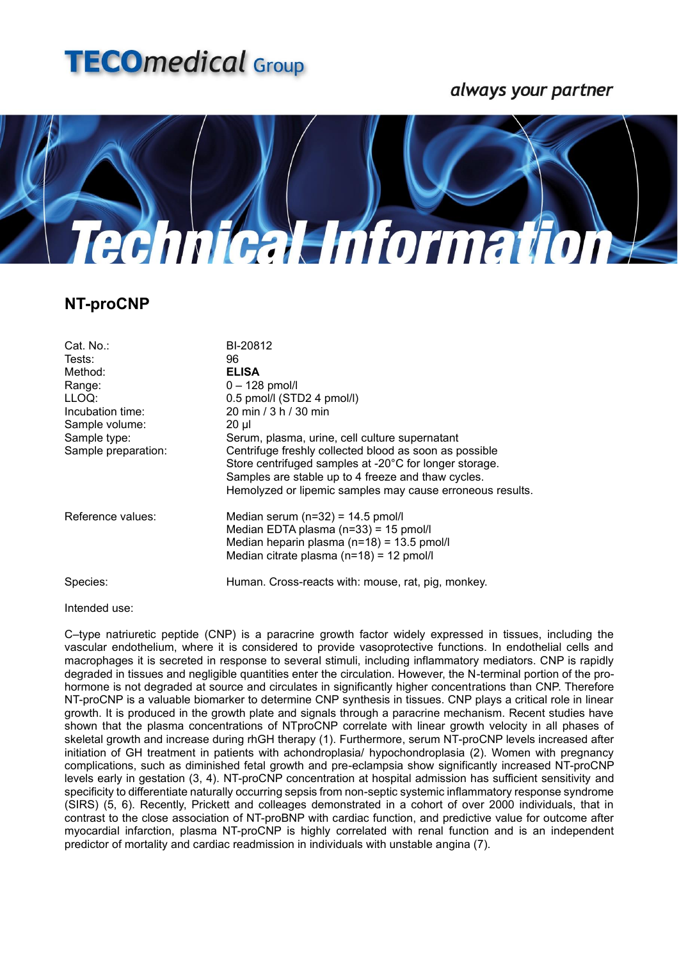

## always your partner



## **NT-proCNP**

| Cat. No.:<br>Tests:<br>Method:<br>Range:<br>LLOQ:<br>Incubation time:<br>Sample volume:<br>Sample type:<br>Sample preparation: | BI-20812<br>96<br><b>ELISA</b><br>$0 - 128$ pmol/l<br>0.5 pmol/l (STD2 4 pmol/l)<br>20 min / 3 h / 30 min<br>20 µl<br>Serum, plasma, urine, cell culture supernatant<br>Centrifuge freshly collected blood as soon as possible<br>Store centrifuged samples at -20°C for longer storage.<br>Samples are stable up to 4 freeze and thaw cycles.<br>Hemolyzed or lipemic samples may cause erroneous results. |
|--------------------------------------------------------------------------------------------------------------------------------|-------------------------------------------------------------------------------------------------------------------------------------------------------------------------------------------------------------------------------------------------------------------------------------------------------------------------------------------------------------------------------------------------------------|
| Reference values:                                                                                                              | Median serum $(n=32) = 14.5$ pmol/l<br>Median EDTA plasma (n=33) = 15 pmol/l<br>Median heparin plasma $(n=18) = 13.5$ pmol/l<br>Median citrate plasma $(n=18) = 12$ pmol/l                                                                                                                                                                                                                                  |
| Species:                                                                                                                       | Human. Cross-reacts with: mouse, rat, pig, monkey.                                                                                                                                                                                                                                                                                                                                                          |

Intended use:

C–type natriuretic peptide (CNP) is a paracrine growth factor widely expressed in tissues, including the vascular endothelium, where it is considered to provide vasoprotective functions. In endothelial cells and macrophages it is secreted in response to several stimuli, including inflammatory mediators. CNP is rapidly degraded in tissues and negligible quantities enter the circulation. However, the N-terminal portion of the prohormone is not degraded at source and circulates in significantly higher concentrations than CNP. Therefore NT-proCNP is a valuable biomarker to determine CNP synthesis in tissues. CNP plays a critical role in linear growth. It is produced in the growth plate and signals through a paracrine mechanism. Recent studies have shown that the plasma concentrations of NTproCNP correlate with linear growth velocity in all phases of skeletal growth and increase during rhGH therapy (1). Furthermore, serum NT-proCNP levels increased after initiation of GH treatment in patients with achondroplasia/ hypochondroplasia (2). Women with pregnancy complications, such as diminished fetal growth and pre-eclampsia show significantly increased NT-proCNP levels early in gestation (3, 4). NT-proCNP concentration at hospital admission has sufficient sensitivity and specificity to differentiate naturally occurring sepsis from non-septic systemic inflammatory response syndrome (SIRS) (5, 6). Recently, Prickett and colleages demonstrated in a cohort of over 2000 individuals, that in contrast to the close association of NT-proBNP with cardiac function, and predictive value for outcome after myocardial infarction, plasma NT-proCNP is highly correlated with renal function and is an independent predictor of mortality and cardiac readmission in individuals with unstable angina (7).